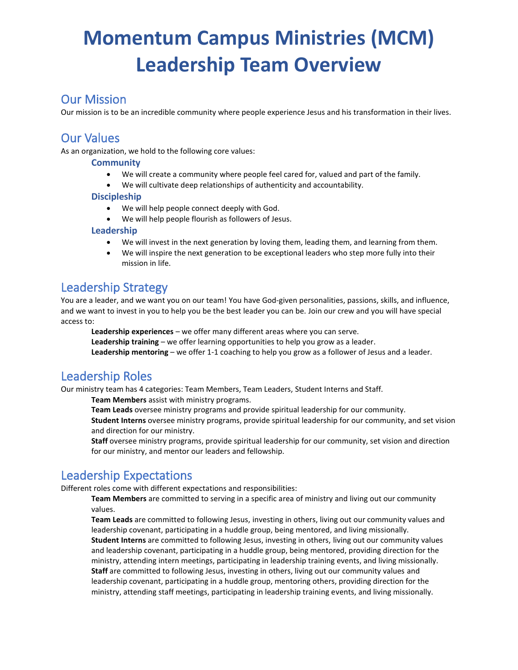# **Momentum Campus Ministries (MCM) Leadership Team Overview**

### Our Mission

Our mission is to be an incredible community where people experience Jesus and his transformation in their lives.

### Our Values

As an organization, we hold to the following core values:

#### **Community**

- We will create a community where people feel cared for, valued and part of the family.
- We will cultivate deep relationships of authenticity and accountability.

#### **Discipleship**

- We will help people connect deeply with God.
- We will help people flourish as followers of Jesus.

#### **Leadership**

- We will invest in the next generation by loving them, leading them, and learning from them.
- We will inspire the next generation to be exceptional leaders who step more fully into their mission in life.

### Leadership Strategy

You are a leader, and we want you on our team! You have God-given personalities, passions, skills, and influence, and we want to invest in you to help you be the best leader you can be. Join our crew and you will have special access to:

**Leadership experiences** – we offer many different areas where you can serve.

**Leadership training** – we offer learning opportunities to help you grow as a leader.

**Leadership mentoring** – we offer 1-1 coaching to help you grow as a follower of Jesus and a leader.

### Leadership Roles

Our ministry team has 4 categories: Team Members, Team Leaders, Student Interns and Staff.

**Team Members** assist with ministry programs.

**Team Leads** oversee ministry programs and provide spiritual leadership for our community.

**Student Interns** oversee ministry programs, provide spiritual leadership for our community, and set vision and direction for our ministry.

**Staff** oversee ministry programs, provide spiritual leadership for our community, set vision and direction for our ministry, and mentor our leaders and fellowship.

### Leadership Expectations

Different roles come with different expectations and responsibilities:

**Team Members** are committed to serving in a specific area of ministry and living out our community values.

**Team Leads** are committed to following Jesus, investing in others, living out our community values and leadership covenant, participating in a huddle group, being mentored, and living missionally. **Student Interns** are committed to following Jesus, investing in others, living out our community values and leadership covenant, participating in a huddle group, being mentored, providing direction for the ministry, attending intern meetings, participating in leadership training events, and living missionally. **Staff** are committed to following Jesus, investing in others, living out our community values and leadership covenant, participating in a huddle group, mentoring others, providing direction for the ministry, attending staff meetings, participating in leadership training events, and living missionally.